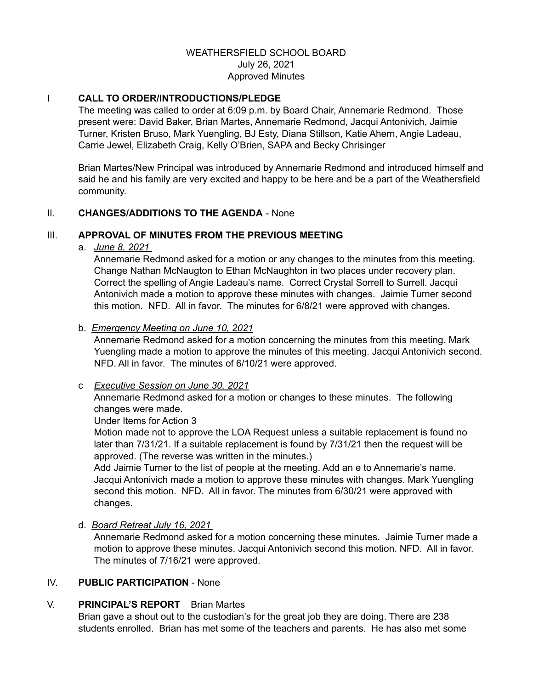## WEATHERSFIELD SCHOOL BOARD July 26, 2021 Approved Minutes

## I **CALL TO ORDER/INTRODUCTIONS/PLEDGE**

The meeting was called to order at 6:09 p.m. by Board Chair, Annemarie Redmond. Those present were: David Baker, Brian Martes, Annemarie Redmond, Jacqui Antonivich, Jaimie Turner, Kristen Bruso, Mark Yuengling, BJ Esty, Diana Stillson, Katie Ahern, Angie Ladeau, Carrie Jewel, Elizabeth Craig, Kelly O'Brien, SAPA and Becky Chrisinger

Brian Martes/New Principal was introduced by Annemarie Redmond and introduced himself and said he and his family are very excited and happy to be here and be a part of the Weathersfield community.

## II. **CHANGES/ADDITIONS TO THE AGENDA** - None

## III. **APPROVAL OF MINUTES FROM THE PREVIOUS MEETING**

a. *June 8, 2021*

Annemarie Redmond asked for a motion or any changes to the minutes from this meeting. Change Nathan McNaugton to Ethan McNaughton in two places under recovery plan. Correct the spelling of Angie Ladeau's name. Correct Crystal Sorrell to Surrell. Jacqui Antonivich made a motion to approve these minutes with changes. Jaimie Turner second this motion. NFD. All in favor. The minutes for 6/8/21 were approved with changes.

## b. *Emergency Meeting on June 10, 2021*

Annemarie Redmond asked for a motion concerning the minutes from this meeting. Mark Yuengling made a motion to approve the minutes of this meeting. Jacqui Antonivich second. NFD. All in favor. The minutes of 6/10/21 were approved.

## c *Executive Session on June 30, 2021*

Annemarie Redmond asked for a motion or changes to these minutes. The following changes were made.

Under Items for Action 3

Motion made not to approve the LOA Request unless a suitable replacement is found no later than 7/31/21. If a suitable replacement is found by 7/31/21 then the request will be approved. (The reverse was written in the minutes.)

Add Jaimie Turner to the list of people at the meeting. Add an e to Annemarie's name. Jacqui Antonivich made a motion to approve these minutes with changes. Mark Yuengling second this motion. NFD. All in favor. The minutes from 6/30/21 were approved with changes.

d. *Board Retreat July 16, 2021*

Annemarie Redmond asked for a motion concerning these minutes. Jaimie Turner made a motion to approve these minutes. Jacqui Antonivich second this motion. NFD. All in favor. The minutes of 7/16/21 were approved.

## IV. **PUBLIC PARTICIPATION** - None

## V. **PRINCIPAL'S REPORT** Brian Martes

Brian gave a shout out to the custodian's for the great job they are doing. There are 238 students enrolled. Brian has met some of the teachers and parents. He has also met some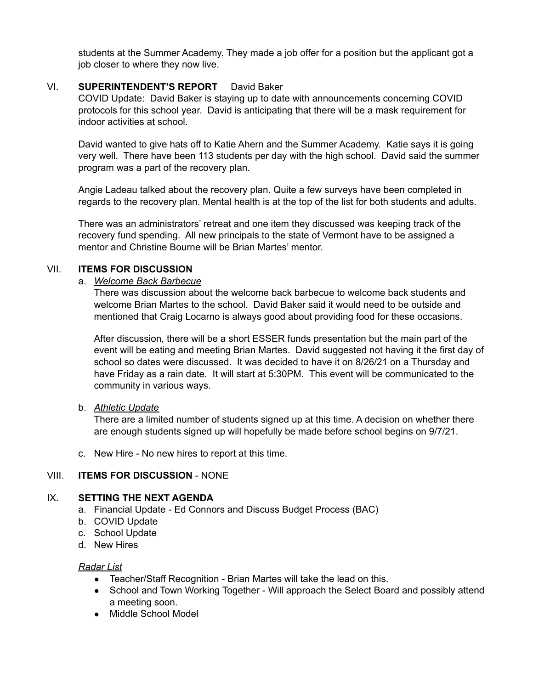students at the Summer Academy. They made a job offer for a position but the applicant got a job closer to where they now live.

## VI. **SUPERINTENDENT'S REPORT** David Baker

COVID Update: David Baker is staying up to date with announcements concerning COVID protocols for this school year. David is anticipating that there will be a mask requirement for indoor activities at school.

David wanted to give hats off to Katie Ahern and the Summer Academy. Katie says it is going very well. There have been 113 students per day with the high school. David said the summer program was a part of the recovery plan.

Angie Ladeau talked about the recovery plan. Quite a few surveys have been completed in regards to the recovery plan. Mental health is at the top of the list for both students and adults.

There was an administrators' retreat and one item they discussed was keeping track of the recovery fund spending. All new principals to the state of Vermont have to be assigned a mentor and Christine Bourne will be Brian Martes' mentor.

## VII. **ITEMS FOR DISCUSSION**

#### a. *Welcome Back Barbecue*

There was discussion about the welcome back barbecue to welcome back students and welcome Brian Martes to the school. David Baker said it would need to be outside and mentioned that Craig Locarno is always good about providing food for these occasions.

After discussion, there will be a short ESSER funds presentation but the main part of the event will be eating and meeting Brian Martes. David suggested not having it the first day of school so dates were discussed. It was decided to have it on 8/26/21 on a Thursday and have Friday as a rain date. It will start at 5:30PM. This event will be communicated to the community in various ways.

## b. *Athletic Update*

There are a limited number of students signed up at this time. A decision on whether there are enough students signed up will hopefully be made before school begins on 9/7/21.

c. New Hire - No new hires to report at this time.

## VIII. **ITEMS FOR DISCUSSION** - NONE

# IX. **SETTING THE NEXT AGENDA**

- a. Financial Update Ed Connors and Discuss Budget Process (BAC)
- b. COVID Update
- c. School Update
- d. New Hires

#### *Radar List*

- Teacher/Staff Recognition Brian Martes will take the lead on this.
- School and Town Working Together Will approach the Select Board and possibly attend a meeting soon.
- Middle School Model